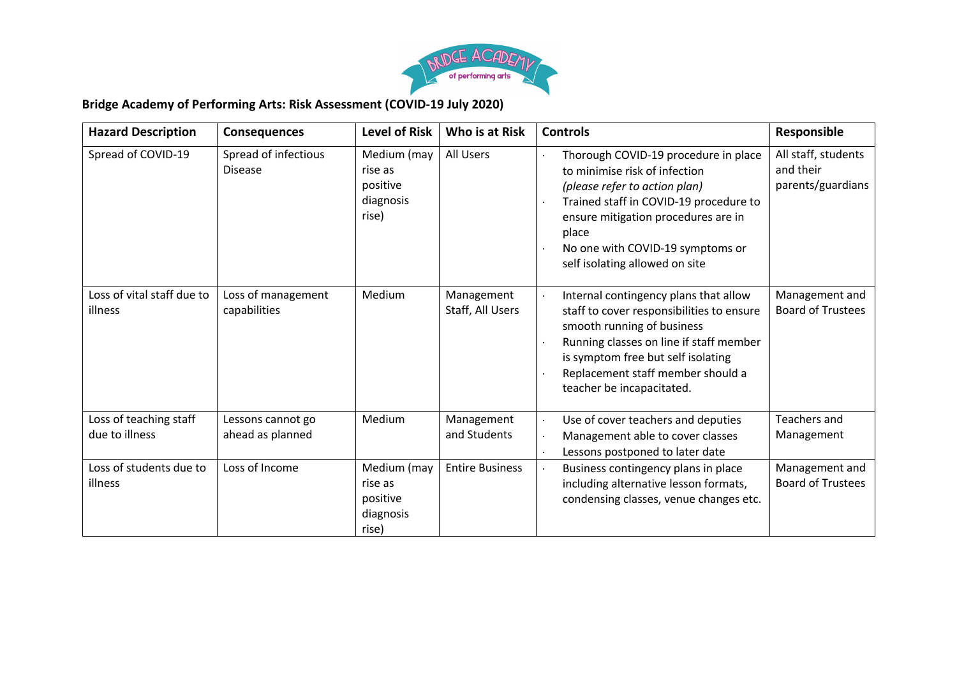

## **Bridge Academy of Performing Arts: Risk Assessment (COVID-19 July 2020)**

| <b>Hazard Description</b>                | <b>Consequences</b>                    | <b>Level of Risk</b>                                     | Who is at Risk                 | <b>Controls</b>                                                                                                                                                                                                                                                        | Responsible                                           |
|------------------------------------------|----------------------------------------|----------------------------------------------------------|--------------------------------|------------------------------------------------------------------------------------------------------------------------------------------------------------------------------------------------------------------------------------------------------------------------|-------------------------------------------------------|
| Spread of COVID-19                       | Spread of infectious<br><b>Disease</b> | Medium (may<br>rise as<br>positive<br>diagnosis<br>rise) | All Users                      | Thorough COVID-19 procedure in place<br>to minimise risk of infection<br>(please refer to action plan)<br>Trained staff in COVID-19 procedure to<br>ensure mitigation procedures are in<br>place<br>No one with COVID-19 symptoms or<br>self isolating allowed on site | All staff, students<br>and their<br>parents/guardians |
| Loss of vital staff due to<br>illness    | Loss of management<br>capabilities     | Medium                                                   | Management<br>Staff, All Users | Internal contingency plans that allow<br>staff to cover responsibilities to ensure<br>smooth running of business<br>Running classes on line if staff member<br>is symptom free but self isolating<br>Replacement staff member should a<br>teacher be incapacitated.    | Management and<br><b>Board of Trustees</b>            |
| Loss of teaching staff<br>due to illness | Lessons cannot go<br>ahead as planned  | Medium                                                   | Management<br>and Students     | Use of cover teachers and deputies<br>Management able to cover classes<br>Lessons postponed to later date                                                                                                                                                              | <b>Teachers and</b><br>Management                     |
| Loss of students due to<br>illness       | Loss of Income                         | Medium (may<br>rise as<br>positive<br>diagnosis<br>rise) | <b>Entire Business</b>         | Business contingency plans in place<br>including alternative lesson formats,<br>condensing classes, venue changes etc.                                                                                                                                                 | Management and<br><b>Board of Trustees</b>            |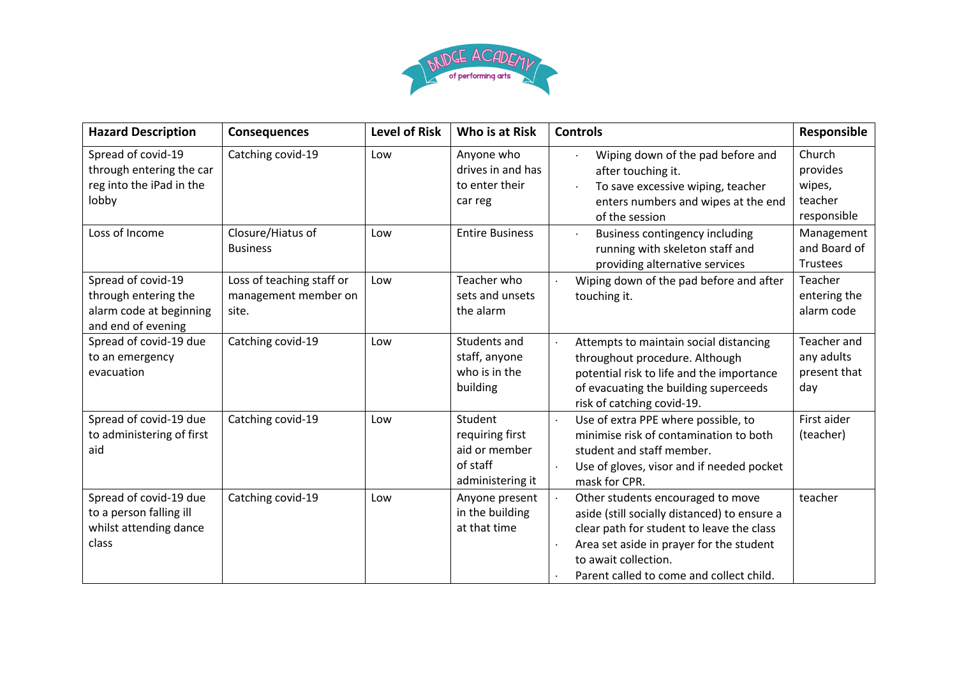

| <b>Hazard Description</b>                                                                   | <b>Consequences</b>                                        | <b>Level of Risk</b> | Who is at Risk                                                              | <b>Controls</b>                                                                                                                                                                                                                                | Responsible                                            |
|---------------------------------------------------------------------------------------------|------------------------------------------------------------|----------------------|-----------------------------------------------------------------------------|------------------------------------------------------------------------------------------------------------------------------------------------------------------------------------------------------------------------------------------------|--------------------------------------------------------|
| Spread of covid-19<br>through entering the car<br>reg into the iPad in the<br>lobby         | Catching covid-19                                          | Low                  | Anyone who<br>drives in and has<br>to enter their<br>car reg                | Wiping down of the pad before and<br>after touching it.<br>To save excessive wiping, teacher<br>enters numbers and wipes at the end<br>of the session                                                                                          | Church<br>provides<br>wipes,<br>teacher<br>responsible |
| Loss of Income                                                                              | Closure/Hiatus of<br><b>Business</b>                       | Low                  | <b>Entire Business</b>                                                      | <b>Business contingency including</b><br>running with skeleton staff and<br>providing alternative services                                                                                                                                     | Management<br>and Board of<br>Trustees                 |
| Spread of covid-19<br>through entering the<br>alarm code at beginning<br>and end of evening | Loss of teaching staff or<br>management member on<br>site. | Low                  | Teacher who<br>sets and unsets<br>the alarm                                 | Wiping down of the pad before and after<br>touching it.                                                                                                                                                                                        | Teacher<br>entering the<br>alarm code                  |
| Spread of covid-19 due<br>to an emergency<br>evacuation                                     | Catching covid-19                                          | Low                  | Students and<br>staff, anyone<br>who is in the<br>building                  | Attempts to maintain social distancing<br>throughout procedure. Although<br>potential risk to life and the importance<br>of evacuating the building superceeds<br>risk of catching covid-19.                                                   | Teacher and<br>any adults<br>present that<br>day       |
| Spread of covid-19 due<br>to administering of first<br>aid                                  | Catching covid-19                                          | Low                  | Student<br>requiring first<br>aid or member<br>of staff<br>administering it | Use of extra PPE where possible, to<br>minimise risk of contamination to both<br>student and staff member.<br>Use of gloves, visor and if needed pocket<br>mask for CPR.                                                                       | First aider<br>(teacher)                               |
| Spread of covid-19 due<br>to a person falling ill<br>whilst attending dance<br>class        | Catching covid-19                                          | Low                  | Anyone present<br>in the building<br>at that time                           | Other students encouraged to move<br>aside (still socially distanced) to ensure a<br>clear path for student to leave the class<br>Area set aside in prayer for the student<br>to await collection.<br>Parent called to come and collect child. | teacher                                                |